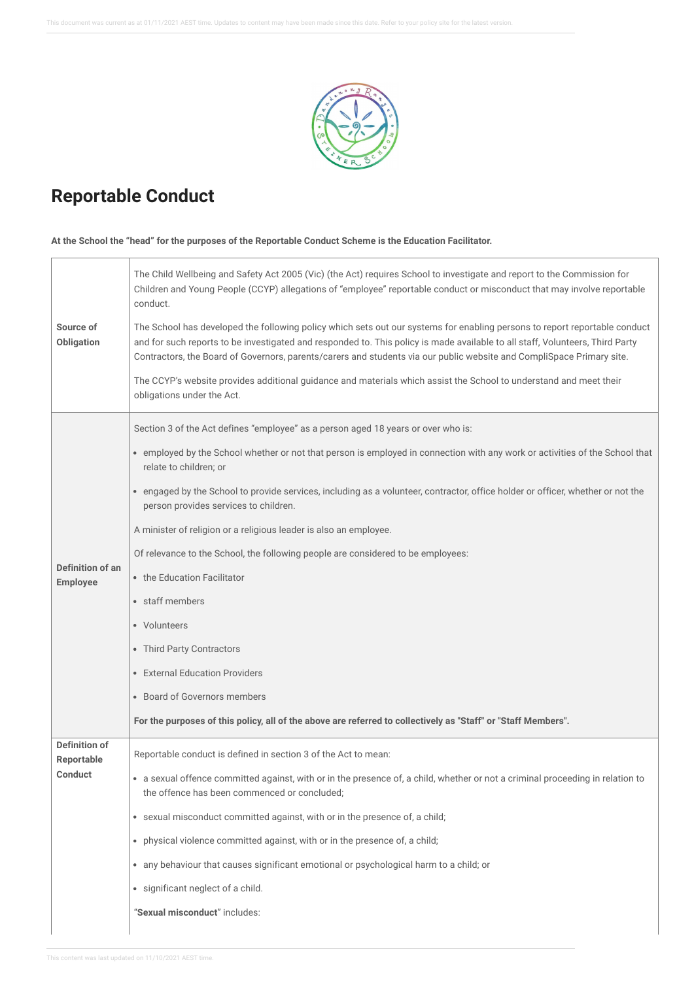

## **Reportable Conduct**

## **At the School the "head" for the purposes of the Reportable Conduct Scheme is the Education Facilitator.**

| Source of<br>Obligation                              | The Child Wellbeing and Safety Act 2005 (Vic) (the Act) requires School to investigate and report to the Commission for<br>Children and Young People (CCYP) allegations of "employee" reportable conduct or misconduct that may involve reportable<br>conduct.<br>The School has developed the following policy which sets out our systems for enabling persons to report reportable conduct<br>and for such reports to be investigated and responded to. This policy is made available to all staff, Volunteers, Third Party<br>Contractors, the Board of Governors, parents/carers and students via our public website and CompliSpace Primary site.<br>The CCYP's website provides additional guidance and materials which assist the School to understand and meet their<br>obligations under the Act. |
|------------------------------------------------------|------------------------------------------------------------------------------------------------------------------------------------------------------------------------------------------------------------------------------------------------------------------------------------------------------------------------------------------------------------------------------------------------------------------------------------------------------------------------------------------------------------------------------------------------------------------------------------------------------------------------------------------------------------------------------------------------------------------------------------------------------------------------------------------------------------|
| Definition of an<br><b>Employee</b>                  | Section 3 of the Act defines "employee" as a person aged 18 years or over who is:<br>• employed by the School whether or not that person is employed in connection with any work or activities of the School that<br>relate to children; or<br>• engaged by the School to provide services, including as a volunteer, contractor, office holder or officer, whether or not the<br>person provides services to children.<br>A minister of religion or a religious leader is also an employee.<br>Of relevance to the School, the following people are considered to be employees:<br>• the Education Facilitator<br>• staff members<br>• Volunteers<br>• Third Party Contractors<br>• External Education Providers<br>• Board of Governors members                                                          |
|                                                      | For the purposes of this policy, all of the above are referred to collectively as "Staff" or "Staff Members".                                                                                                                                                                                                                                                                                                                                                                                                                                                                                                                                                                                                                                                                                              |
| <b>Definition of</b><br><b>Reportable</b><br>Conduct | Reportable conduct is defined in section 3 of the Act to mean:<br>a sexual offence committed against, with or in the presence of, a child, whether or not a criminal proceeding in relation to<br>the offence has been commenced or concluded;<br>• sexual misconduct committed against, with or in the presence of, a child;<br>• physical violence committed against, with or in the presence of, a child;<br>• any behaviour that causes significant emotional or psychological harm to a child; or<br>· significant neglect of a child.<br>"Sexual misconduct" includes:                                                                                                                                                                                                                               |
|                                                      |                                                                                                                                                                                                                                                                                                                                                                                                                                                                                                                                                                                                                                                                                                                                                                                                            |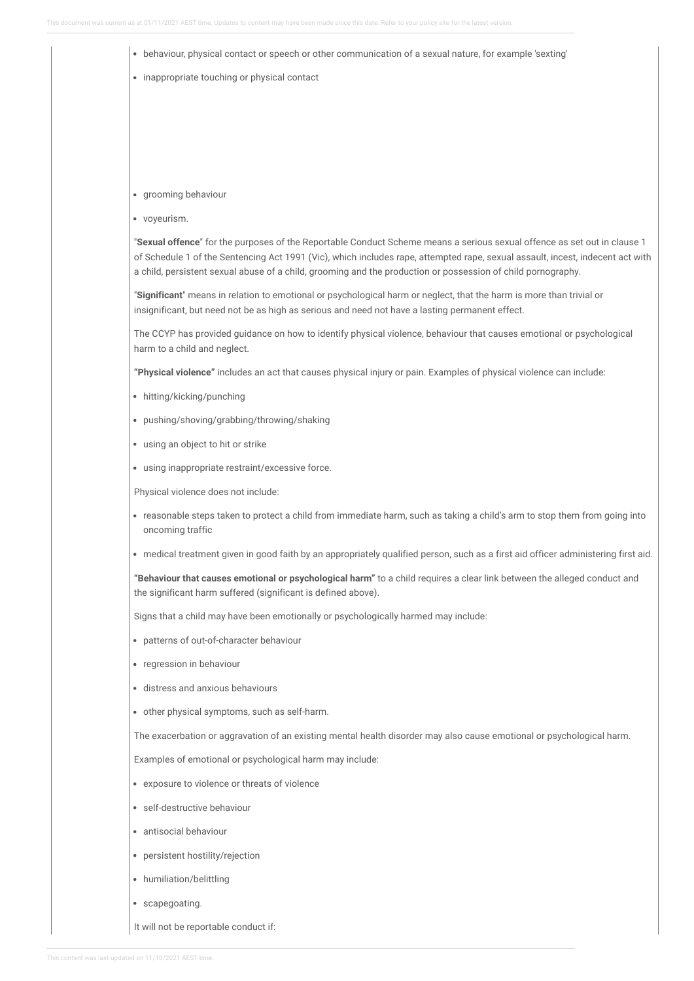| • inappropriate touching or physical contact                                                                                                                                                                                                                                                                                                                               |
|----------------------------------------------------------------------------------------------------------------------------------------------------------------------------------------------------------------------------------------------------------------------------------------------------------------------------------------------------------------------------|
|                                                                                                                                                                                                                                                                                                                                                                            |
|                                                                                                                                                                                                                                                                                                                                                                            |
|                                                                                                                                                                                                                                                                                                                                                                            |
|                                                                                                                                                                                                                                                                                                                                                                            |
| • grooming behaviour                                                                                                                                                                                                                                                                                                                                                       |
| • voyeurism.                                                                                                                                                                                                                                                                                                                                                               |
| "Sexual offence" for the purposes of the Reportable Conduct Scheme means a serious sexual offence as set out in clause 1<br>of Schedule 1 of the Sentencing Act 1991 (Vic), which includes rape, attempted rape, sexual assault, incest, indecent act with<br>a child, persistent sexual abuse of a child, grooming and the production or possession of child pornography. |
| "Significant" means in relation to emotional or psychological harm or neglect, that the harm is more than trivial or<br>insignificant, but need not be as high as serious and need not have a lasting permanent effect.                                                                                                                                                    |
| The CCYP has provided guidance on how to identify physical violence, behaviour that causes emotional or psychological<br>harm to a child and neglect.                                                                                                                                                                                                                      |
| "Physical violence" includes an act that causes physical injury or pain. Examples of physical violence can include:                                                                                                                                                                                                                                                        |
| • hitting/kicking/punching                                                                                                                                                                                                                                                                                                                                                 |
| • pushing/shoving/grabbing/throwing/shaking                                                                                                                                                                                                                                                                                                                                |
| • using an object to hit or strike                                                                                                                                                                                                                                                                                                                                         |
| · using inappropriate restraint/excessive force.                                                                                                                                                                                                                                                                                                                           |
| Physical violence does not include:                                                                                                                                                                                                                                                                                                                                        |
| • reasonable steps taken to protect a child from immediate harm, such as taking a child's arm to stop them from going into<br>oncoming traffic                                                                                                                                                                                                                             |
| • medical treatment given in good faith by an appropriately qualified person, such as a first aid officer administering first aid.                                                                                                                                                                                                                                         |
| "Behaviour that causes emotional or psychological harm" to a child requires a clear link between the alleged conduct and<br>the significant harm suffered (significant is defined above).                                                                                                                                                                                  |
| Signs that a child may have been emotionally or psychologically harmed may include:                                                                                                                                                                                                                                                                                        |
| • patterns of out-of-character behaviour                                                                                                                                                                                                                                                                                                                                   |
| • regression in behaviour                                                                                                                                                                                                                                                                                                                                                  |
| · distress and anxious behaviours                                                                                                                                                                                                                                                                                                                                          |
| • other physical symptoms, such as self-harm.                                                                                                                                                                                                                                                                                                                              |
| The exacerbation or aggravation of an existing mental health disorder may also cause emotional or psychological harm.                                                                                                                                                                                                                                                      |
| Examples of emotional or psychological harm may include:                                                                                                                                                                                                                                                                                                                   |
| • exposure to violence or threats of violence                                                                                                                                                                                                                                                                                                                              |
| · self-destructive behaviour                                                                                                                                                                                                                                                                                                                                               |
| • antisocial behaviour                                                                                                                                                                                                                                                                                                                                                     |
| • persistent hostility/rejection                                                                                                                                                                                                                                                                                                                                           |
| • humiliation/belittling                                                                                                                                                                                                                                                                                                                                                   |
| • scapegoating.                                                                                                                                                                                                                                                                                                                                                            |

This content was last updated on 11/10/2021 AEST time.

It will not be reportable conduct if: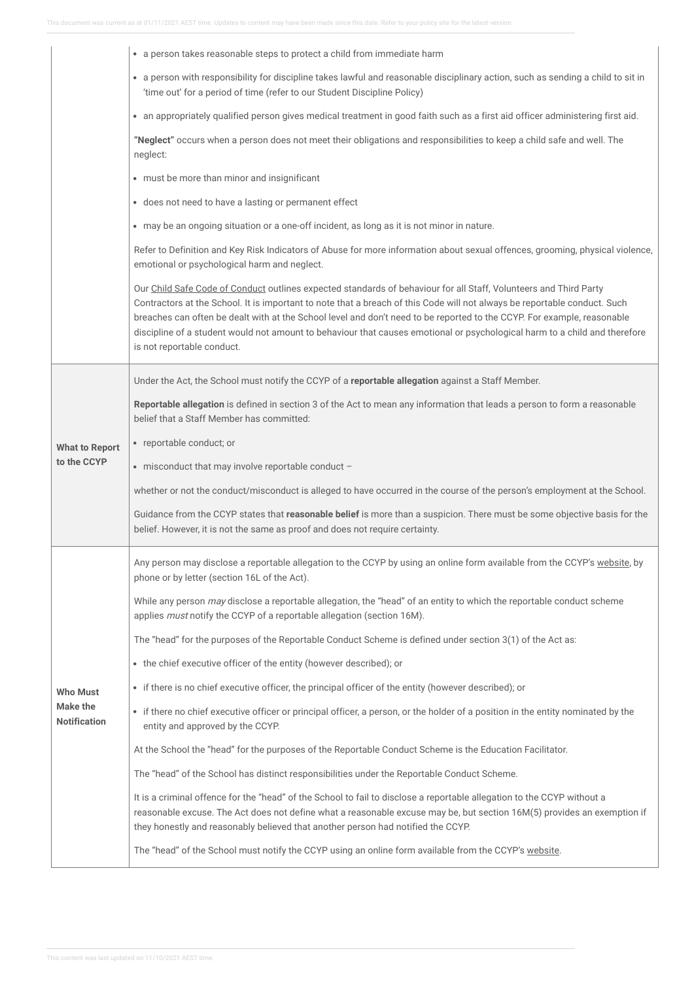|                                        | a person takes reasonable steps to protect a child from immediate harm<br>$\bullet$                                                                                                                                                                                                                                                                                                                                                                                                                                                   |
|----------------------------------------|---------------------------------------------------------------------------------------------------------------------------------------------------------------------------------------------------------------------------------------------------------------------------------------------------------------------------------------------------------------------------------------------------------------------------------------------------------------------------------------------------------------------------------------|
|                                        | • a person with responsibility for discipline takes lawful and reasonable disciplinary action, such as sending a child to sit in<br>'time out' for a period of time (refer to our Student Discipline Policy)                                                                                                                                                                                                                                                                                                                          |
|                                        | • an appropriately qualified person gives medical treatment in good faith such as a first aid officer administering first aid.                                                                                                                                                                                                                                                                                                                                                                                                        |
|                                        | "Neglect" occurs when a person does not meet their obligations and responsibilities to keep a child safe and well. The<br>neglect:                                                                                                                                                                                                                                                                                                                                                                                                    |
|                                        | • must be more than minor and insignificant                                                                                                                                                                                                                                                                                                                                                                                                                                                                                           |
|                                        | • does not need to have a lasting or permanent effect                                                                                                                                                                                                                                                                                                                                                                                                                                                                                 |
|                                        | • may be an ongoing situation or a one-off incident, as long as it is not minor in nature.                                                                                                                                                                                                                                                                                                                                                                                                                                            |
|                                        | Refer to Definition and Key Risk Indicators of Abuse for more information about sexual offences, grooming, physical violence,<br>emotional or psychological harm and neglect.                                                                                                                                                                                                                                                                                                                                                         |
|                                        | Our Child Safe Code of Conduct outlines expected standards of behaviour for all Staff, Volunteers and Third Party<br>Contractors at the School. It is important to note that a breach of this Code will not always be reportable conduct. Such<br>breaches can often be dealt with at the School level and don't need to be reported to the CCYP. For example, reasonable<br>discipline of a student would not amount to behaviour that causes emotional or psychological harm to a child and therefore<br>is not reportable conduct. |
|                                        | Under the Act, the School must notify the CCYP of a reportable allegation against a Staff Member.                                                                                                                                                                                                                                                                                                                                                                                                                                     |
|                                        | Reportable allegation is defined in section 3 of the Act to mean any information that leads a person to form a reasonable<br>belief that a Staff Member has committed:                                                                                                                                                                                                                                                                                                                                                                |
| <b>What to Report</b>                  | • reportable conduct; or                                                                                                                                                                                                                                                                                                                                                                                                                                                                                                              |
| to the CCYP                            |                                                                                                                                                                                                                                                                                                                                                                                                                                                                                                                                       |
|                                        | • misconduct that may involve reportable conduct -                                                                                                                                                                                                                                                                                                                                                                                                                                                                                    |
|                                        | whether or not the conduct/misconduct is alleged to have occurred in the course of the person's employment at the School.                                                                                                                                                                                                                                                                                                                                                                                                             |
|                                        | Guidance from the CCYP states that reasonable belief is more than a suspicion. There must be some objective basis for the<br>belief. However, it is not the same as proof and does not require certainty.                                                                                                                                                                                                                                                                                                                             |
|                                        | Any person may disclose a reportable allegation to the CCYP by using an online form available from the CCYP's website, by<br>phone or by letter (section 16L of the Act).                                                                                                                                                                                                                                                                                                                                                             |
|                                        | While any person may disclose a reportable allegation, the "head" of an entity to which the reportable conduct scheme<br>applies must notify the CCYP of a reportable allegation (section 16M).                                                                                                                                                                                                                                                                                                                                       |
|                                        | The "head" for the purposes of the Reportable Conduct Scheme is defined under section 3(1) of the Act as:                                                                                                                                                                                                                                                                                                                                                                                                                             |
|                                        | • the chief executive officer of the entity (however described); or                                                                                                                                                                                                                                                                                                                                                                                                                                                                   |
| <b>Who Must</b>                        | • if there is no chief executive officer, the principal officer of the entity (however described); or                                                                                                                                                                                                                                                                                                                                                                                                                                 |
| <b>Make the</b><br><b>Notification</b> | • if there no chief executive officer or principal officer, a person, or the holder of a position in the entity nominated by the<br>entity and approved by the CCYP.                                                                                                                                                                                                                                                                                                                                                                  |
|                                        | At the School the "head" for the purposes of the Reportable Conduct Scheme is the Education Facilitator.                                                                                                                                                                                                                                                                                                                                                                                                                              |
|                                        | The "head" of the School has distinct responsibilities under the Reportable Conduct Scheme.                                                                                                                                                                                                                                                                                                                                                                                                                                           |
|                                        | It is a criminal offence for the "head" of the School to fail to disclose a reportable allegation to the CCYP without a<br>reasonable excuse. The Act does not define what a reasonable excuse may be, but section 16M(5) provides an exemption if<br>they honestly and reasonably believed that another person had notified the CCYP.                                                                                                                                                                                                |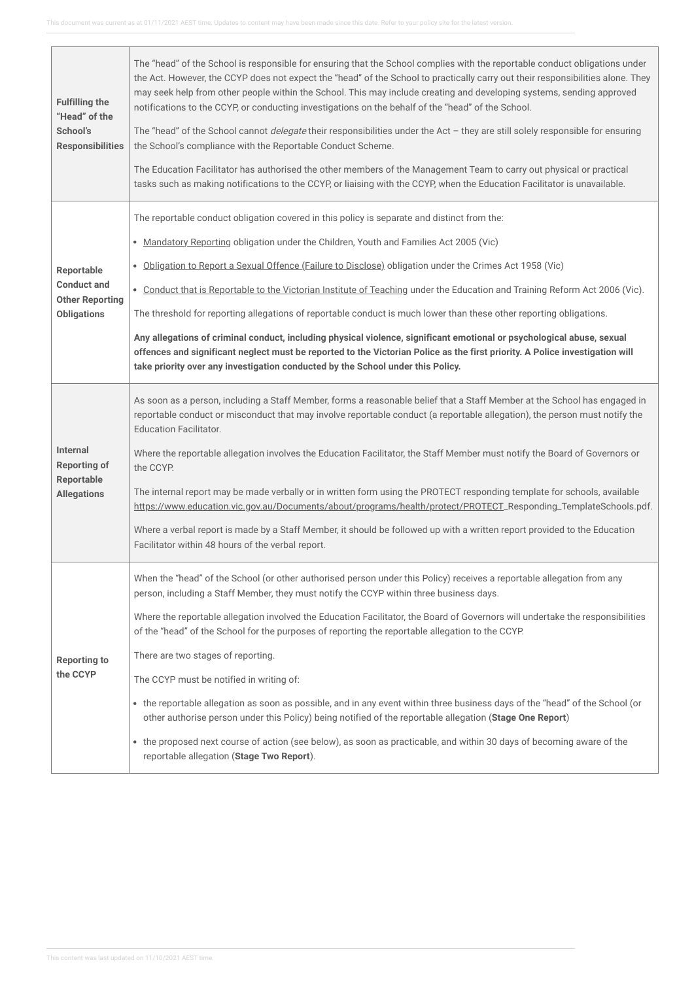J.

| <b>Fulfilling the</b><br>"Head" of the<br>School's<br><b>Responsibilities</b>    | The "head" of the School is responsible for ensuring that the School complies with the reportable conduct obligations under<br>the Act. However, the CCYP does not expect the "head" of the School to practically carry out their responsibilities alone. They<br>may seek help from other people within the School. This may include creating and developing systems, sending approved<br>notifications to the CCYP, or conducting investigations on the behalf of the "head" of the School.<br>The "head" of the School cannot <i>delegate</i> their responsibilities under the Act - they are still solely responsible for ensuring<br>the School's compliance with the Reportable Conduct Scheme.<br>The Education Facilitator has authorised the other members of the Management Team to carry out physical or practical<br>tasks such as making notifications to the CCYP, or liaising with the CCYP, when the Education Facilitator is unavailable.  |
|----------------------------------------------------------------------------------|-------------------------------------------------------------------------------------------------------------------------------------------------------------------------------------------------------------------------------------------------------------------------------------------------------------------------------------------------------------------------------------------------------------------------------------------------------------------------------------------------------------------------------------------------------------------------------------------------------------------------------------------------------------------------------------------------------------------------------------------------------------------------------------------------------------------------------------------------------------------------------------------------------------------------------------------------------------|
| Reportable<br><b>Conduct and</b><br><b>Other Reporting</b><br><b>Obligations</b> | The reportable conduct obligation covered in this policy is separate and distinct from the:<br>• Mandatory Reporting obligation under the Children, Youth and Families Act 2005 (Vic)<br>. Obligation to Report a Sexual Offence (Failure to Disclose) obligation under the Crimes Act 1958 (Vic)<br>. Conduct that is Reportable to the Victorian Institute of Teaching under the Education and Training Reform Act 2006 (Vic).<br>The threshold for reporting allegations of reportable conduct is much lower than these other reporting obligations.<br>Any allegations of criminal conduct, including physical violence, significant emotional or psychological abuse, sexual<br>offences and significant neglect must be reported to the Victorian Police as the first priority. A Police investigation will<br>take priority over any investigation conducted by the School under this Policy.                                                        |
| <b>Internal</b><br><b>Reporting of</b><br>Reportable<br><b>Allegations</b>       | As soon as a person, including a Staff Member, forms a reasonable belief that a Staff Member at the School has engaged in<br>reportable conduct or misconduct that may involve reportable conduct (a reportable allegation), the person must notify the<br><b>Education Facilitator.</b><br>Where the reportable allegation involves the Education Facilitator, the Staff Member must notify the Board of Governors or<br>the CCYP.<br>The internal report may be made verbally or in written form using the PROTECT responding template for schools, available<br>https://www.education.vic.gov.au/Documents/about/programs/health/protect/PROTECT_Responding_TemplateSchools.pdf.<br>Where a verbal report is made by a Staff Member, it should be followed up with a written report provided to the Education<br>Facilitator within 48 hours of the verbal report.                                                                                       |
| <b>Reporting to</b><br>the CCYP                                                  | When the "head" of the School (or other authorised person under this Policy) receives a reportable allegation from any<br>person, including a Staff Member, they must notify the CCYP within three business days.<br>Where the reportable allegation involved the Education Facilitator, the Board of Governors will undertake the responsibilities<br>of the "head" of the School for the purposes of reporting the reportable allegation to the CCYP.<br>There are two stages of reporting.<br>The CCYP must be notified in writing of:<br>• the reportable allegation as soon as possible, and in any event within three business days of the "head" of the School (or<br>other authorise person under this Policy) being notified of the reportable allegation (Stage One Report)<br>• the proposed next course of action (see below), as soon as practicable, and within 30 days of becoming aware of the<br>reportable allegation (Stage Two Report). |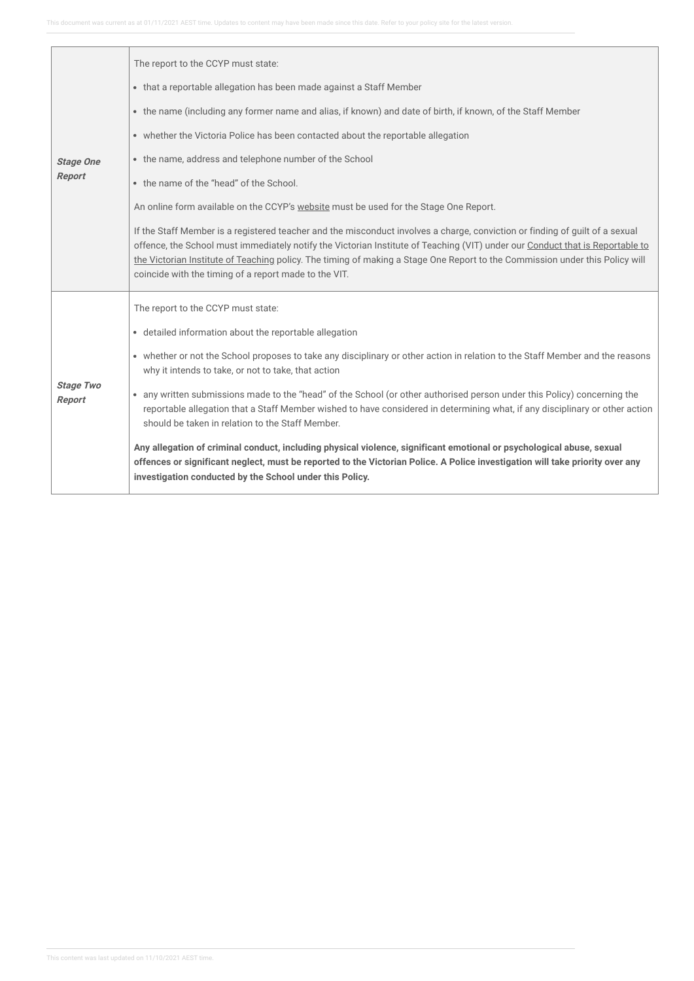|                            | The report to the CCYP must state:                                                                                                                                                                                                                                                                                                                                                                                                                     |
|----------------------------|--------------------------------------------------------------------------------------------------------------------------------------------------------------------------------------------------------------------------------------------------------------------------------------------------------------------------------------------------------------------------------------------------------------------------------------------------------|
|                            | • that a reportable allegation has been made against a Staff Member                                                                                                                                                                                                                                                                                                                                                                                    |
|                            | • the name (including any former name and alias, if known) and date of birth, if known, of the Staff Member                                                                                                                                                                                                                                                                                                                                            |
|                            | • whether the Victoria Police has been contacted about the reportable allegation                                                                                                                                                                                                                                                                                                                                                                       |
| <b>Stage One</b>           | • the name, address and telephone number of the School                                                                                                                                                                                                                                                                                                                                                                                                 |
| Report                     | • the name of the "head" of the School.                                                                                                                                                                                                                                                                                                                                                                                                                |
|                            | An online form available on the CCYP's website must be used for the Stage One Report.                                                                                                                                                                                                                                                                                                                                                                  |
|                            | If the Staff Member is a registered teacher and the misconduct involves a charge, conviction or finding of guilt of a sexual<br>offence, the School must immediately notify the Victorian Institute of Teaching (VIT) under our Conduct that is Reportable to<br>the Victorian Institute of Teaching policy. The timing of making a Stage One Report to the Commission under this Policy will<br>coincide with the timing of a report made to the VIT. |
|                            | The report to the CCYP must state:                                                                                                                                                                                                                                                                                                                                                                                                                     |
|                            | • detailed information about the reportable allegation                                                                                                                                                                                                                                                                                                                                                                                                 |
|                            | • whether or not the School proposes to take any disciplinary or other action in relation to the Staff Member and the reasons<br>why it intends to take, or not to take, that action                                                                                                                                                                                                                                                                   |
| <b>Stage Two</b><br>Report | any written submissions made to the "head" of the School (or other authorised person under this Policy) concerning the<br>$\bullet$<br>reportable allegation that a Staff Member wished to have considered in determining what, if any disciplinary or other action<br>should be taken in relation to the Staff Member.                                                                                                                                |
|                            | Any allegation of criminal conduct, including physical violence, significant emotional or psychological abuse, sexual<br>offences or significant neglect, must be reported to the Victorian Police. A Police investigation will take priority over any<br>investigation conducted by the School under this Policy.                                                                                                                                     |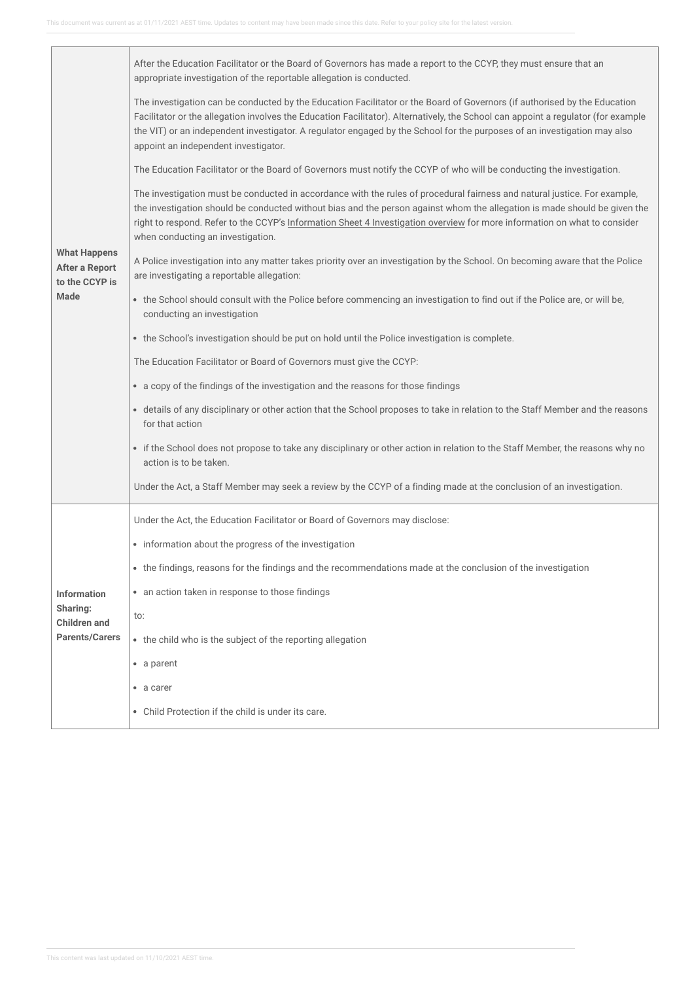|                                                         | After the Education Facilitator or the Board of Governors has made a report to the CCYP, they must ensure that an<br>appropriate investigation of the reportable allegation is conducted.                                                                                                                                                                                                                                          |
|---------------------------------------------------------|------------------------------------------------------------------------------------------------------------------------------------------------------------------------------------------------------------------------------------------------------------------------------------------------------------------------------------------------------------------------------------------------------------------------------------|
|                                                         | The investigation can be conducted by the Education Facilitator or the Board of Governors (if authorised by the Education<br>Facilitator or the allegation involves the Education Facilitator). Alternatively, the School can appoint a regulator (for example<br>the VIT) or an independent investigator. A regulator engaged by the School for the purposes of an investigation may also<br>appoint an independent investigator. |
|                                                         | The Education Facilitator or the Board of Governors must notify the CCYP of who will be conducting the investigation.                                                                                                                                                                                                                                                                                                              |
|                                                         | The investigation must be conducted in accordance with the rules of procedural fairness and natural justice. For example,<br>the investigation should be conducted without bias and the person against whom the allegation is made should be given the<br>right to respond. Refer to the CCYP's Information Sheet 4 Investigation overview for more information on what to consider<br>when conducting an investigation.           |
| <b>What Happens</b><br>After a Report<br>to the CCYP is | A Police investigation into any matter takes priority over an investigation by the School. On becoming aware that the Police<br>are investigating a reportable allegation:                                                                                                                                                                                                                                                         |
| <b>Made</b>                                             | • the School should consult with the Police before commencing an investigation to find out if the Police are, or will be,<br>conducting an investigation                                                                                                                                                                                                                                                                           |
|                                                         | • the School's investigation should be put on hold until the Police investigation is complete.                                                                                                                                                                                                                                                                                                                                     |
|                                                         | The Education Facilitator or Board of Governors must give the CCYP:                                                                                                                                                                                                                                                                                                                                                                |
|                                                         | • a copy of the findings of the investigation and the reasons for those findings                                                                                                                                                                                                                                                                                                                                                   |
|                                                         | • details of any disciplinary or other action that the School proposes to take in relation to the Staff Member and the reasons<br>for that action                                                                                                                                                                                                                                                                                  |
|                                                         | • if the School does not propose to take any disciplinary or other action in relation to the Staff Member, the reasons why no<br>action is to be taken.                                                                                                                                                                                                                                                                            |
|                                                         | Under the Act, a Staff Member may seek a review by the CCYP of a finding made at the conclusion of an investigation.                                                                                                                                                                                                                                                                                                               |
|                                                         | Under the Act, the Education Facilitator or Board of Governors may disclose:                                                                                                                                                                                                                                                                                                                                                       |
|                                                         | • information about the progress of the investigation                                                                                                                                                                                                                                                                                                                                                                              |
|                                                         | • the findings, reasons for the findings and the recommendations made at the conclusion of the investigation                                                                                                                                                                                                                                                                                                                       |
| <b>Information</b>                                      | • an action taken in response to those findings                                                                                                                                                                                                                                                                                                                                                                                    |
| Sharing:<br><b>Children</b> and                         | to:                                                                                                                                                                                                                                                                                                                                                                                                                                |
| <b>Parents/Carers</b>                                   | • the child who is the subject of the reporting allegation                                                                                                                                                                                                                                                                                                                                                                         |
|                                                         | • a parent                                                                                                                                                                                                                                                                                                                                                                                                                         |
|                                                         | • a carer                                                                                                                                                                                                                                                                                                                                                                                                                          |
|                                                         | • Child Protection if the child is under its care.                                                                                                                                                                                                                                                                                                                                                                                 |